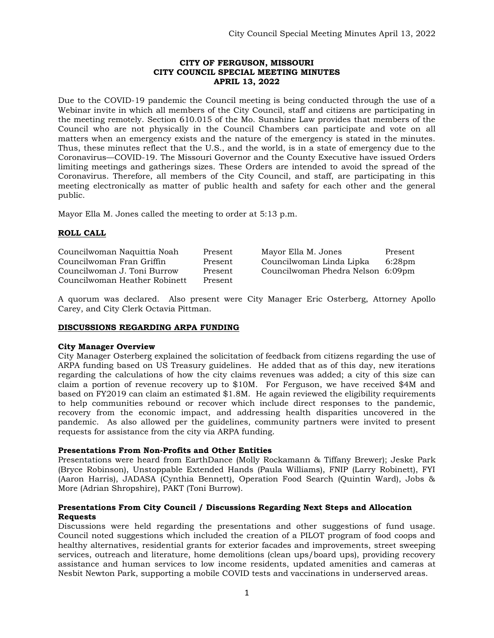## **CITY OF FERGUSON, MISSOURI CITY COUNCIL SPECIAL MEETING MINUTES APRIL 13, 2022**

Due to the COVID-19 pandemic the Council meeting is being conducted through the use of a Webinar invite in which all members of the City Council, staff and citizens are participating in the meeting remotely. Section 610.015 of the Mo. Sunshine Law provides that members of the Council who are not physically in the Council Chambers can participate and vote on all matters when an emergency exists and the nature of the emergency is stated in the minutes. Thus, these minutes reflect that the U.S., and the world, is in a state of emergency due to the Coronavirus—COVID-19. The Missouri Governor and the County Executive have issued Orders limiting meetings and gatherings sizes. These Orders are intended to avoid the spread of the Coronavirus. Therefore, all members of the City Council, and staff, are participating in this meeting electronically as matter of public health and safety for each other and the general public.

Mayor Ella M. Jones called the meeting to order at 5:13 p.m.

# **ROLL CALL**

| Councilwoman Naquittia Noah   | Present | Mayor Ella M. Jones               | Present |
|-------------------------------|---------|-----------------------------------|---------|
| Councilwoman Fran Griffin     | Present | Councilwoman Linda Lipka          | 6:28pm  |
| Councilwoman J. Toni Burrow   | Present | Councilwoman Phedra Nelson 6:09pm |         |
| Councilwoman Heather Robinett | Present |                                   |         |

A quorum was declared. Also present were City Manager Eric Osterberg, Attorney Apollo Carey, and City Clerk Octavia Pittman.

## **DISCUSSIONS REGARDING ARPA FUNDING**

#### **City Manager Overview**

City Manager Osterberg explained the solicitation of feedback from citizens regarding the use of ARPA funding based on US Treasury guidelines. He added that as of this day, new iterations regarding the calculations of how the city claims revenues was added; a city of this size can claim a portion of revenue recovery up to \$10M. For Ferguson, we have received \$4M and based on FY2019 can claim an estimated \$1.8M. He again reviewed the eligibility requirements to help communities rebound or recover which include direct responses to the pandemic, recovery from the economic impact, and addressing health disparities uncovered in the pandemic. As also allowed per the guidelines, community partners were invited to present requests for assistance from the city via ARPA funding.

#### **Presentations From Non-Profits and Other Entities**

Presentations were heard from EarthDance (Molly Rockamann & Tiffany Brewer); Jeske Park (Bryce Robinson), Unstoppable Extended Hands (Paula Williams), FNIP (Larry Robinett), FYI (Aaron Harris), JADASA (Cynthia Bennett), Operation Food Search (Quintin Ward), Jobs & More (Adrian Shropshire), PAKT (Toni Burrow).

## **Presentations From City Council / Discussions Regarding Next Steps and Allocation Requests**

Discussions were held regarding the presentations and other suggestions of fund usage. Council noted suggestions which included the creation of a PILOT program of food coops and healthy alternatives, residential grants for exterior facades and improvements, street sweeping services, outreach and literature, home demolitions (clean ups/board ups), providing recovery assistance and human services to low income residents, updated amenities and cameras at Nesbit Newton Park, supporting a mobile COVID tests and vaccinations in underserved areas.